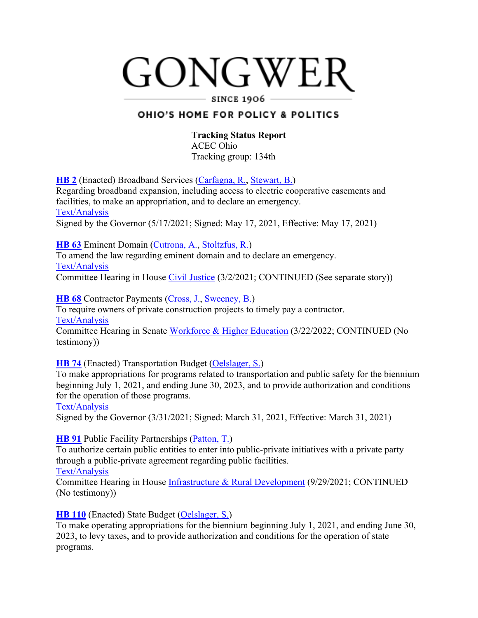# GONGWER

#### **SINCE 1906**

# OHIO'S HOME FOR POLICY & POLITICS

#### **Tracking Status Report** ACEC Ohio

Tracking group: 134th

**HB 2** (Enacted) Broadband Services (Carfagna, R., Stewart, B.) Regarding broadband expansion, including access to electric cooperative easements and facilities, to make an appropriation, and to declare an emergency. Text/Analysis Signed by the Governor (5/17/2021; Signed: May 17, 2021, Effective: May 17, 2021)

**HB 63** Eminent Domain (Cutrona, A., Stoltzfus, R.)

To amend the law regarding eminent domain and to declare an emergency. Text/Analysis

Committee Hearing in House Civil Justice (3/2/2021; CONTINUED (See separate story))

**HB 68** Contractor Payments (Cross, J., Sweeney, B.)

To require owners of private construction projects to timely pay a contractor. Text/Analysis

Committee Hearing in Senate Workforce & Higher Education (3/22/2022; CONTINUED (No testimony))

**HB 74** (Enacted) Transportation Budget (Oelslager, S.)

To make appropriations for programs related to transportation and public safety for the biennium beginning July 1, 2021, and ending June 30, 2023, and to provide authorization and conditions for the operation of those programs.

## Text/Analysis

Signed by the Governor (3/31/2021; Signed: March 31, 2021, Effective: March 31, 2021)

## **HB 91** Public Facility Partnerships (Patton, T.)

To authorize certain public entities to enter into public-private initiatives with a private party through a public-private agreement regarding public facilities. Text/Analysis

Committee Hearing in House Infrastructure & Rural Development (9/29/2021; CONTINUED (No testimony))

**HB 110** (Enacted) State Budget (Oelslager, S.)

To make operating appropriations for the biennium beginning July 1, 2021, and ending June 30, 2023, to levy taxes, and to provide authorization and conditions for the operation of state programs.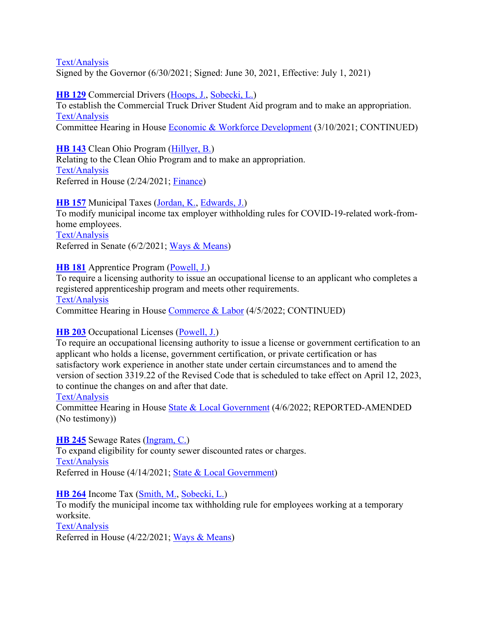Signed by the Governor (6/30/2021; Signed: June 30, 2021, Effective: July 1, 2021)

**HB 129** Commercial Drivers (Hoops, J., Sobecki, L.)

To establish the Commercial Truck Driver Student Aid program and to make an appropriation. Text/Analysis

Committee Hearing in House Economic & Workforce Development (3/10/2021; CONTINUED)

**HB 143** Clean Ohio Program (Hillyer, B.)

Relating to the Clean Ohio Program and to make an appropriation. Text/Analysis Referred in House (2/24/2021; Finance)

**HB 157** Municipal Taxes (Jordan, K., Edwards, J.)

To modify municipal income tax employer withholding rules for COVID-19-related work-fromhome employees.

Text/Analysis

Referred in Senate (6/2/2021; Ways & Means)

### **HB 181** Apprentice Program (Powell, J.)

To require a licensing authority to issue an occupational license to an applicant who completes a registered apprenticeship program and meets other requirements. Text/Analysis

Committee Hearing in House Commerce & Labor (4/5/2022; CONTINUED)

## **HB 203** Occupational Licenses (Powell, J.)

To require an occupational licensing authority to issue a license or government certification to an applicant who holds a license, government certification, or private certification or has satisfactory work experience in another state under certain circumstances and to amend the version of section 3319.22 of the Revised Code that is scheduled to take effect on April 12, 2023, to continue the changes on and after that date.

#### Text/Analysis

Committee Hearing in House State & Local Government (4/6/2022; REPORTED-AMENDED (No testimony))

**HB 245** Sewage Rates (Ingram, C.) To expand eligibility for county sewer discounted rates or charges. Text/Analysis Referred in House (4/14/2021; State & Local Government)

**HB 264** Income Tax (Smith, M., Sobecki, L.)

To modify the municipal income tax withholding rule for employees working at a temporary worksite.

Text/Analysis Referred in House (4/22/2021; Ways & Means)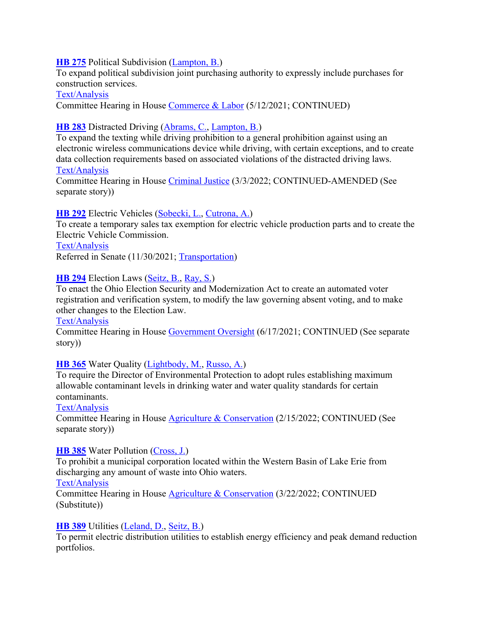#### **HB 275** Political Subdivision (Lampton, B.)

To expand political subdivision joint purchasing authority to expressly include purchases for construction services.

#### Text/Analysis

Committee Hearing in House Commerce & Labor (5/12/2021; CONTINUED)

## **HB 283** Distracted Driving (Abrams, C., Lampton, B.)

To expand the texting while driving prohibition to a general prohibition against using an electronic wireless communications device while driving, with certain exceptions, and to create data collection requirements based on associated violations of the distracted driving laws. Text/Analysis

Committee Hearing in House Criminal Justice (3/3/2022; CONTINUED-AMENDED (See separate story))

### **HB 292** Electric Vehicles (Sobecki, L., Cutrona, A.)

To create a temporary sales tax exemption for electric vehicle production parts and to create the Electric Vehicle Commission.

Text/Analysis

Referred in Senate (11/30/2021; Transportation)

#### **HB 294** Election Laws (Seitz, B., Ray, S.)

To enact the Ohio Election Security and Modernization Act to create an automated voter registration and verification system, to modify the law governing absent voting, and to make other changes to the Election Law.

#### Text/Analysis

Committee Hearing in House Government Oversight (6/17/2021; CONTINUED (See separate story))

#### **HB 365** Water Quality (Lightbody, M., Russo, A.)

To require the Director of Environmental Protection to adopt rules establishing maximum allowable contaminant levels in drinking water and water quality standards for certain contaminants.

#### Text/Analysis

Committee Hearing in House Agriculture & Conservation (2/15/2022; CONTINUED (See separate story))

#### **HB 385** Water Pollution (Cross, J.)

To prohibit a municipal corporation located within the Western Basin of Lake Erie from discharging any amount of waste into Ohio waters.

#### Text/Analysis

Committee Hearing in House Agriculture & Conservation (3/22/2022; CONTINUED (Substitute))

#### **HB 389** Utilities (Leland, D., Seitz, B.)

To permit electric distribution utilities to establish energy efficiency and peak demand reduction portfolios.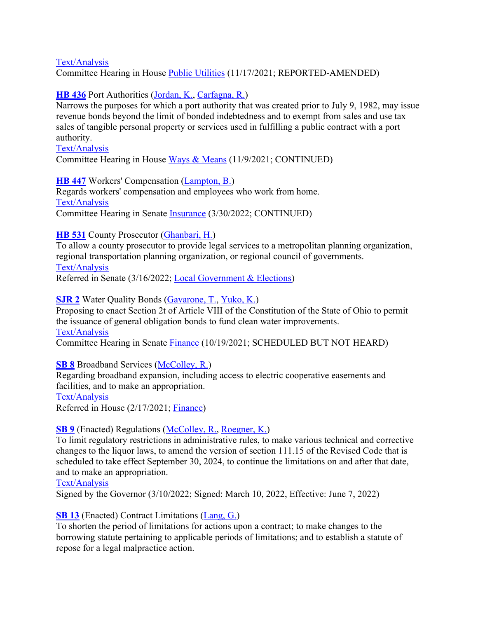Committee Hearing in House Public Utilities (11/17/2021; REPORTED-AMENDED)

# **HB 436** Port Authorities (Jordan, K., Carfagna, R.)

Narrows the purposes for which a port authority that was created prior to July 9, 1982, may issue revenue bonds beyond the limit of bonded indebtedness and to exempt from sales and use tax sales of tangible personal property or services used in fulfilling a public contract with a port authority.

#### Text/Analysis

Committee Hearing in House Ways & Means (11/9/2021; CONTINUED)

### **HB 447** Workers' Compensation (Lampton, B.)

Regards workers' compensation and employees who work from home. Text/Analysis Committee Hearing in Senate Insurance (3/30/2022; CONTINUED)

# **HB 531** County Prosecutor (Ghanbari, H.)

To allow a county prosecutor to provide legal services to a metropolitan planning organization, regional transportation planning organization, or regional council of governments. Text/Analysis

Referred in Senate (3/16/2022; Local Government & Elections)

### **SJR 2** Water Quality Bonds (Gavarone, T., Yuko, K.)

Proposing to enact Section 2t of Article VIII of the Constitution of the State of Ohio to permit the issuance of general obligation bonds to fund clean water improvements. Text/Analysis

Committee Hearing in Senate Finance (10/19/2021; SCHEDULED BUT NOT HEARD)

#### **SB 8** Broadband Services (McColley, R.)

Regarding broadband expansion, including access to electric cooperative easements and facilities, and to make an appropriation. Text/Analysis

Referred in House (2/17/2021; Finance)

## **SB 9** (Enacted) Regulations (McColley, R., Roegner, K.)

To limit regulatory restrictions in administrative rules, to make various technical and corrective changes to the liquor laws, to amend the version of section 111.15 of the Revised Code that is scheduled to take effect September 30, 2024, to continue the limitations on and after that date, and to make an appropriation.

#### Text/Analysis

Signed by the Governor (3/10/2022; Signed: March 10, 2022, Effective: June 7, 2022)

## **SB 13** (Enacted) Contract Limitations (Lang, G.)

To shorten the period of limitations for actions upon a contract; to make changes to the borrowing statute pertaining to applicable periods of limitations; and to establish a statute of repose for a legal malpractice action.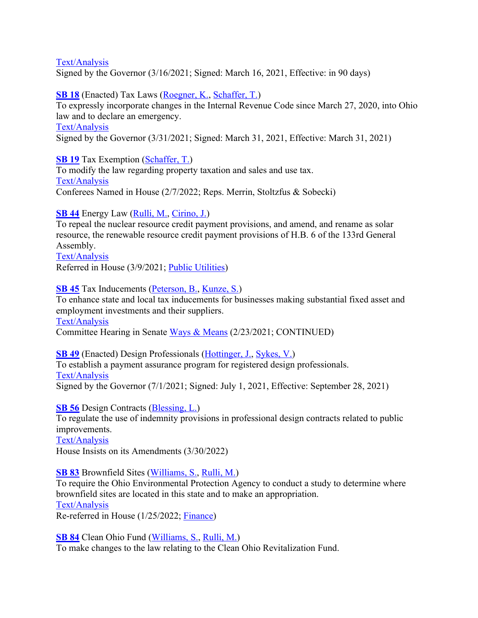Signed by the Governor (3/16/2021; Signed: March 16, 2021, Effective: in 90 days)

## **SB 18** (Enacted) Tax Laws (Roegner, K., Schaffer, T.)

To expressly incorporate changes in the Internal Revenue Code since March 27, 2020, into Ohio law and to declare an emergency.

#### Text/Analysis

Signed by the Governor (3/31/2021; Signed: March 31, 2021, Effective: March 31, 2021)

## **SB 19** Tax Exemption (Schaffer, T.)

To modify the law regarding property taxation and sales and use tax. Text/Analysis Conferees Named in House (2/7/2022; Reps. Merrin, Stoltzfus & Sobecki)

# **SB 44** Energy Law (Rulli, M., Cirino, J.)

To repeal the nuclear resource credit payment provisions, and amend, and rename as solar resource, the renewable resource credit payment provisions of H.B. 6 of the 133rd General Assembly.

Text/Analysis Referred in House (3/9/2021; Public Utilities)

### **SB 45** Tax Inducements (Peterson, B., Kunze, S.)

To enhance state and local tax inducements for businesses making substantial fixed asset and employment investments and their suppliers.

Text/Analysis

Committee Hearing in Senate Ways & Means (2/23/2021; CONTINUED)

#### **SB 49** (Enacted) Design Professionals (Hottinger, J., Sykes, V.) To establish a payment assurance program for registered design professionals. Text/Analysis Signed by the Governor (7/1/2021; Signed: July 1, 2021, Effective: September 28, 2021)

**SB 56** Design Contracts (Blessing, L.)

To regulate the use of indemnity provisions in professional design contracts related to public improvements.

#### Text/Analysis

House Insists on its Amendments (3/30/2022)

## **SB 83** Brownfield Sites (Williams, S., Rulli, M.)

To require the Ohio Environmental Protection Agency to conduct a study to determine where brownfield sites are located in this state and to make an appropriation.

## Text/Analysis

Re-referred in House (1/25/2022; Finance)

## **SB 84** Clean Ohio Fund (Williams, S., Rulli, M.)

To make changes to the law relating to the Clean Ohio Revitalization Fund.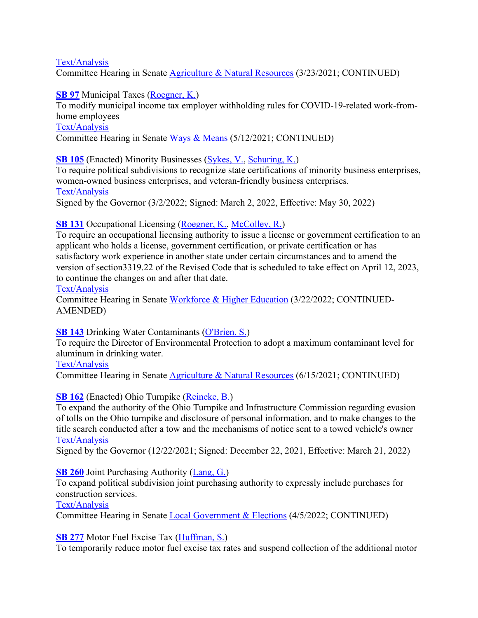Committee Hearing in Senate Agriculture & Natural Resources (3/23/2021; CONTINUED)

**SB 97** Municipal Taxes (Roegner, K.)

To modify municipal income tax employer withholding rules for COVID-19-related work-fromhome employees

Text/Analysis

Committee Hearing in Senate Ways & Means (5/12/2021; CONTINUED)

**SB 105** (Enacted) Minority Businesses (Sykes, V., Schuring, K.)

To require political subdivisions to recognize state certifications of minority business enterprises, women-owned business enterprises, and veteran-friendly business enterprises. Text/Analysis

Signed by the Governor (3/2/2022; Signed: March 2, 2022, Effective: May 30, 2022)

# **SB 131** Occupational Licensing (Roegner, K., McColley, R.)

To require an occupational licensing authority to issue a license or government certification to an applicant who holds a license, government certification, or private certification or has satisfactory work experience in another state under certain circumstances and to amend the version of section3319.22 of the Revised Code that is scheduled to take effect on April 12, 2023, to continue the changes on and after that date.

#### Text/Analysis

Committee Hearing in Senate Workforce & Higher Education (3/22/2022; CONTINUED-AMENDED)

## **SB 143** Drinking Water Contaminants (O'Brien, S.)

To require the Director of Environmental Protection to adopt a maximum contaminant level for aluminum in drinking water.

Text/Analysis

Committee Hearing in Senate **Agriculture & Natural Resources** (6/15/2021; CONTINUED)

# **SB 162** (Enacted) Ohio Turnpike (Reineke, B.)

To expand the authority of the Ohio Turnpike and Infrastructure Commission regarding evasion of tolls on the Ohio turnpike and disclosure of personal information, and to make changes to the title search conducted after a tow and the mechanisms of notice sent to a towed vehicle's owner Text/Analysis

Signed by the Governor (12/22/2021; Signed: December 22, 2021, Effective: March 21, 2022)

## **SB 260** Joint Purchasing Authority (Lang, G.)

To expand political subdivision joint purchasing authority to expressly include purchases for construction services.

## Text/Analysis

Committee Hearing in Senate Local Government & Elections (4/5/2022; CONTINUED)

**SB 277** Motor Fuel Excise Tax (Huffman, S.)

To temporarily reduce motor fuel excise tax rates and suspend collection of the additional motor